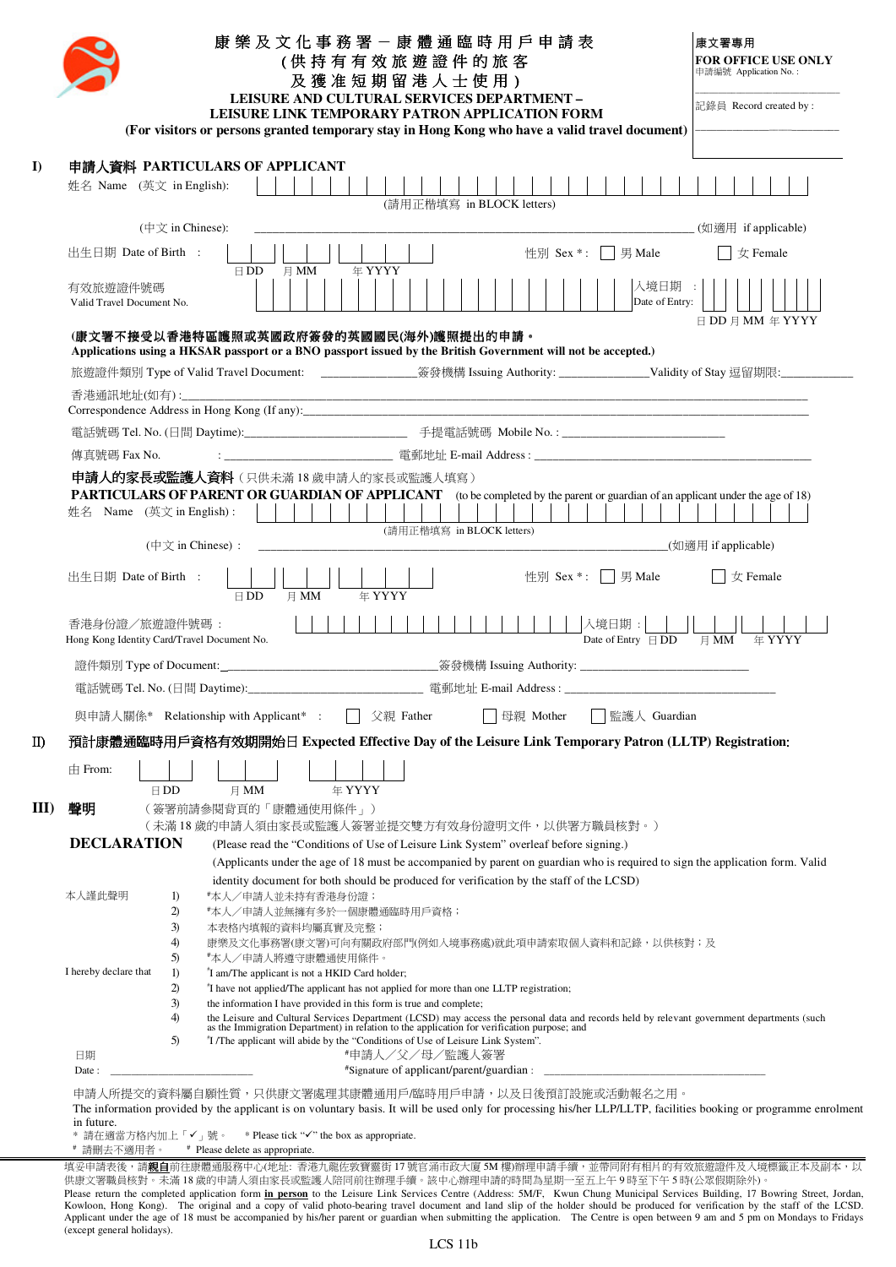|      | 康 樂 及 文 化 事 務 署 - 康 體 通 臨 時 用 戶 申 請 表<br>(供持有有效旅遊證件的旅客<br>及獲准短期留港人士使用)<br>LEISURE AND CULTURAL SERVICES DEPARTMENT -<br>LEISURE LINK TEMPORARY PATRON APPLICATION FORM<br>(For visitors or persons granted temporary stay in Hong Kong who have a valid travel document)                                                                        | 康文署惠用<br><b>FOR OFFICE USE ONLY</b><br>申請編號 Application No.:<br>記錄員 Record created by: |
|------|-------------------------------------------------------------------------------------------------------------------------------------------------------------------------------------------------------------------------------------------------------------------------------------------------------------------------------------------------|----------------------------------------------------------------------------------------|
|      | 申請人資料 PARTICULARS OF APPLICANT                                                                                                                                                                                                                                                                                                                  |                                                                                        |
|      | 姓名 Name (英文 in English):<br>(請用正楷填寫 in BLOCK letters)                                                                                                                                                                                                                                                                                           |                                                                                        |
|      | ( $\oplus \overline{\chi}$ in Chinese):                                                                                                                                                                                                                                                                                                         |                                                                                        |
|      | 性別 Sex *: 男 Male<br>出生日期 Date of Birth :<br>年 YYYY<br>月 $MM$<br>$\boxminus$ DD                                                                                                                                                                                                                                                                  | $\parallel \phi$ Female                                                                |
|      | 入境日期 :<br>有效旅遊證件號碼<br>Date of Entry:<br>Valid Travel Document No.                                                                                                                                                                                                                                                                               |                                                                                        |
|      | (康文署不接受以香港特區護照或英國政府簽發的英國國民(海外)護照提出的申請。<br>Applications using a HKSAR passport or a BNO passport issued by the British Government will not be accepted.)                                                                                                                                                                                         | $\boxminus$ DD $\boxminus$ MM $\cong$ YYYY                                             |
|      | 旅遊證件類別 Type of Valid Travel Document: ________________簽發機構 Issuing Authority: _________________Validity of Stay 逗留期限:____________                                                                                                                                                                                                               |                                                                                        |
|      |                                                                                                                                                                                                                                                                                                                                                 |                                                                                        |
|      |                                                                                                                                                                                                                                                                                                                                                 |                                                                                        |
|      |                                                                                                                                                                                                                                                                                                                                                 |                                                                                        |
|      | 傳真號碼 Fax No.                                                                                                                                                                                                                                                                                                                                    |                                                                                        |
|      | 申請人的家長或監護人資料(只供未滿18歲申請人的家長或監護人填寫)<br>PARTICULARS OF PARENT OR GUARDIAN OF APPLICANT (to be completed by the parent or guardian of an applicant under the age of 18)<br>姓名 Name (英文 in English) :<br>(請用正楷填寫 in BLOCK letters)<br>$(\nexists \forall$ in Chinese) :                                                                              |                                                                                        |
|      |                                                                                                                                                                                                                                                                                                                                                 |                                                                                        |
|      | 出生日期 Date of Birth :<br>性別 Sex *:   男 Male<br>月 MM<br><b>年 YYYY</b><br>$\boxminus$ DD                                                                                                                                                                                                                                                           | 女 Female                                                                               |
|      | 入境日期:<br>香港身份證/旅遊證件號碼:                                                                                                                                                                                                                                                                                                                          |                                                                                        |
|      | Date of Entry $\overline{HDD}$<br>Hong Kong Identity Card/Travel Document No.                                                                                                                                                                                                                                                                   | $\boxplus$ MM<br>年 YYYY                                                                |
|      |                                                                                                                                                                                                                                                                                                                                                 |                                                                                        |
|      |                                                                                                                                                                                                                                                                                                                                                 |                                                                                        |
|      | 與申請人關係* Relationship with Applicant* :<br>父親 Father<br>母親 Mother<br>監護人 Guardian                                                                                                                                                                                                                                                                |                                                                                        |
|      | 預計康體通臨時用戶資格有效期開始日 Expected Effective Day of the Leisure Link Temporary Patron (LLTP) Registration:                                                                                                                                                                                                                                              |                                                                                        |
|      | $\pm$ From:                                                                                                                                                                                                                                                                                                                                     |                                                                                        |
|      | 年 YYYY<br>$\boxminus$ DD<br>月 MM                                                                                                                                                                                                                                                                                                                |                                                                                        |
|      | 聲明<br>(簽署前請參閱背頁的「康體通使用條件」)                                                                                                                                                                                                                                                                                                                      |                                                                                        |
|      | (未滿 18 歲的申請人須由家長或監護人簽署並提交雙方有效身份證明文件,以供署方職員核對。)                                                                                                                                                                                                                                                                                                  |                                                                                        |
|      | <b>DECLARATION</b><br>(Please read the "Conditions of Use of Leisure Link System" overleaf before signing.)<br>(Applicants under the age of 18 must be accompanied by parent on guardian who is required to sign the application form. Valid                                                                                                    |                                                                                        |
|      | identity document for both should be produced for verification by the staff of the LCSD)                                                                                                                                                                                                                                                        |                                                                                        |
|      | 本人謹此聲明<br>*本人/申請人並未持有香港身份證;<br>$_{1}$                                                                                                                                                                                                                                                                                                           |                                                                                        |
|      | 2)<br>#本人/申請人並無擁有多於一個康體通臨時用戶資格;<br>3)<br>本表格内填報的資料均屬真實及完整;                                                                                                                                                                                                                                                                                      |                                                                                        |
|      | 4)<br>康樂及文化事務署(康文署)可向有關政府部門(例如人境事務處)就此項申請索取個人資料和記錄,以供核對;及                                                                                                                                                                                                                                                                                       |                                                                                        |
|      | 5)<br>*本人/申請人將遵守康體通使用條件。<br>I hereby declare that<br>$\left( \frac{1}{2} \right)$<br>"I am/The applicant is not a HKID Card holder;                                                                                                                                                                                                             |                                                                                        |
| III) | 2)<br>"I have not applied/The applicant has not applied for more than one LLTP registration;                                                                                                                                                                                                                                                    |                                                                                        |
|      | 3)<br>the information I have provided in this form is true and complete;<br>4)                                                                                                                                                                                                                                                                  |                                                                                        |
|      | the Leisure and Cultural Services Department (LCSD) may access the personal data and records held by relevant government departments (such as the Immigration Department) in relation to the application for verification purp<br>"I /The applicant will abide by the "Conditions of Use of Leisure Link System".<br>5)<br>日期<br>*申請人/父/母/監護人簽署 |                                                                                        |

in future.<br>\* 請在適當方格內加上「✔」號。 \* Please tick "✔" the box as appropriate.

# 請刪去不適用者。 # Please delete as appropriate.

填妥申請表後,請**親自**前往康體通服務中心(地址: 香港九龍佐敦寶靈街 17 號官涌市政大廈 5M 樓)辦理申請手續,並帶同附有相片的有效旅遊證件及入境標籤正本及副本,以 供康文署職員核對。未滿 18 歲的申請人須由家長或監護人陪同前往辦理手續。該中心辦理申請的時間為星期一至五上午 9 時至下午 5 時(公眾假期除外)。 Please return the completed application form **in person** to the Leisure Link Services Centre (Address: 5M/F, Kwun Chung Municipal Services Building, 17 Bowring Street, Jordan, Kowloon, Hong Kong). The original and a copy of valid photo-bearing travel document and land slip of the holder should be produced for verification by the staff of the LCSD.<br>Applicant under the age of 18 must be accompanie (except general holidays).